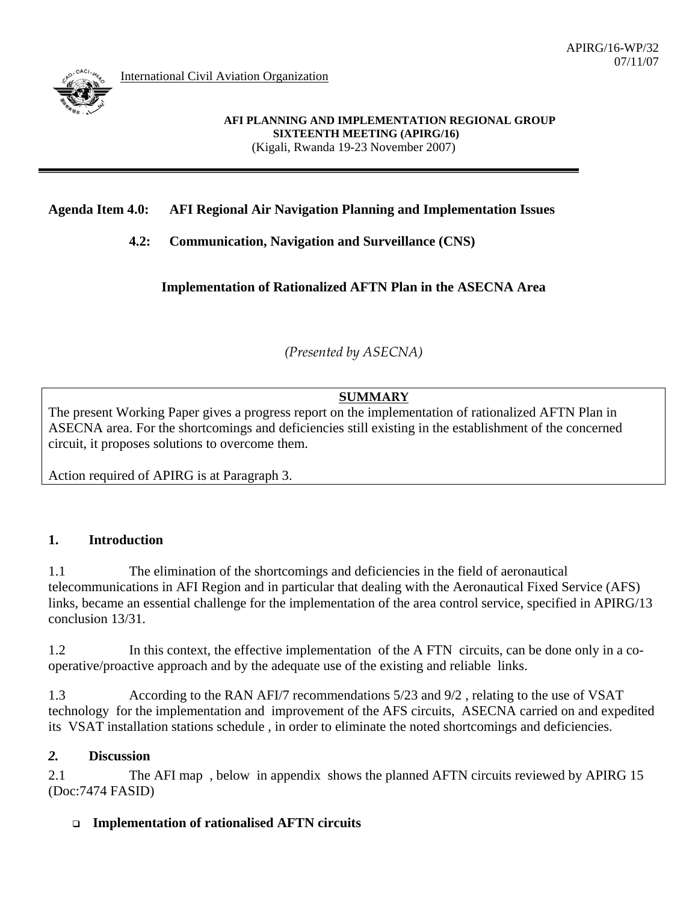

International Civil Aviation Organization

## **Agenda Item 4.0: AFI Regional Air Navigation Planning and Implementation Issues**

 **4.2: Communication, Navigation and Surveillance (CNS)** 

**Implementation of Rationalized AFTN Plan in the ASECNA Area**

*(Presented by ASECNA)* 

# **SUMMARY**

The present Working Paper gives a progress report on the implementation of rationalized AFTN Plan in ASECNA area. For the shortcomings and deficiencies still existing in the establishment of the concerned circuit, it proposes solutions to overcome them.

Action required of APIRG is at Paragraph 3.

### **1. Introduction**

1.1 The elimination of the shortcomings and deficiencies in the field of aeronautical telecommunications in AFI Region and in particular that dealing with the Aeronautical Fixed Service (AFS) links, became an essential challenge for the implementation of the area control service, specified in APIRG/13 conclusion 13/31.

1.2 In this context, the effective implementation of the A FTN circuits, can be done only in a cooperative/proactive approach and by the adequate use of the existing and reliable links.

1.3 According to the RAN AFI/7 recommendations 5/23 and 9/2 , relating to the use of VSAT technology for the implementation and improvement of the AFS circuits, ASECNA carried on and expedited its VSAT installation stations schedule , in order to eliminate the noted shortcomings and deficiencies.

### *2.* **Discussion**

2.1 The AFI map, below in appendix shows the planned AFTN circuits reviewed by APIRG 15 (Doc:7474 FASID)

### **Implementation of rationalised AFTN circuits**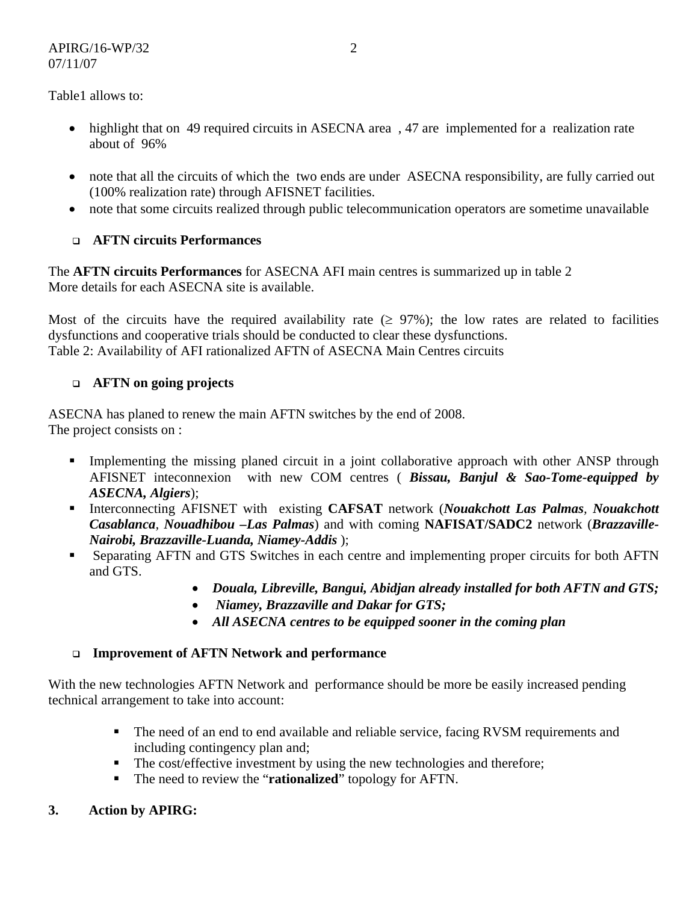Table1 allows to:

- highlight that on 49 required circuits in ASECNA area, 47 are implemented for a realization rate about of 96%
- note that all the circuits of which the two ends are under ASECNA responsibility, are fully carried out (100% realization rate) through AFISNET facilities.
- note that some circuits realized through public telecommunication operators are sometime unavailable

# **AFTN circuits Performances**

The **AFTN circuits Performances** for ASECNA AFI main centres is summarized up in table 2 More details for each ASECNA site is available.

Most of the circuits have the required availability rate  $(≥ 97%)$ ; the low rates are related to facilities dysfunctions and cooperative trials should be conducted to clear these dysfunctions. Table 2: Availability of AFI rationalized AFTN of ASECNA Main Centres circuits

# **AFTN on going projects**

ASECNA has planed to renew the main AFTN switches by the end of 2008. The project consists on :

- Implementing the missing planed circuit in a joint collaborative approach with other ANSP through AFISNET inteconnexion with new COM centres ( *Bissau, Banjul & Sao-Tome-equipped by ASECNA, Algiers*);
- Interconnecting AFISNET with existing **CAFSAT** network (*Nouakchott Las Palmas, Nouakchott Casablanca, Nouadhibou –Las Palmas*) and with coming **NAFISAT/SADC2** network (*Brazzaville-Nairobi, Brazzaville-Luanda, Niamey-Addis* );
- Separating AFTN and GTS Switches in each centre and implementing proper circuits for both AFTN and GTS.
	- *Douala, Libreville, Bangui, Abidjan already installed for both AFTN and GTS;*
	- • *Niamey, Brazzaville and Dakar for GTS;*
	- *All ASECNA centres to be equipped sooner in the coming plan*

### **Improvement of AFTN Network and performance**

With the new technologies AFTN Network and performance should be more be easily increased pending technical arrangement to take into account:

- The need of an end to end available and reliable service, facing RVSM requirements and including contingency plan and;
- The cost/effective investment by using the new technologies and therefore;
- The need to review the "**rationalized**" topology for AFTN.
- **3. Action by APIRG:**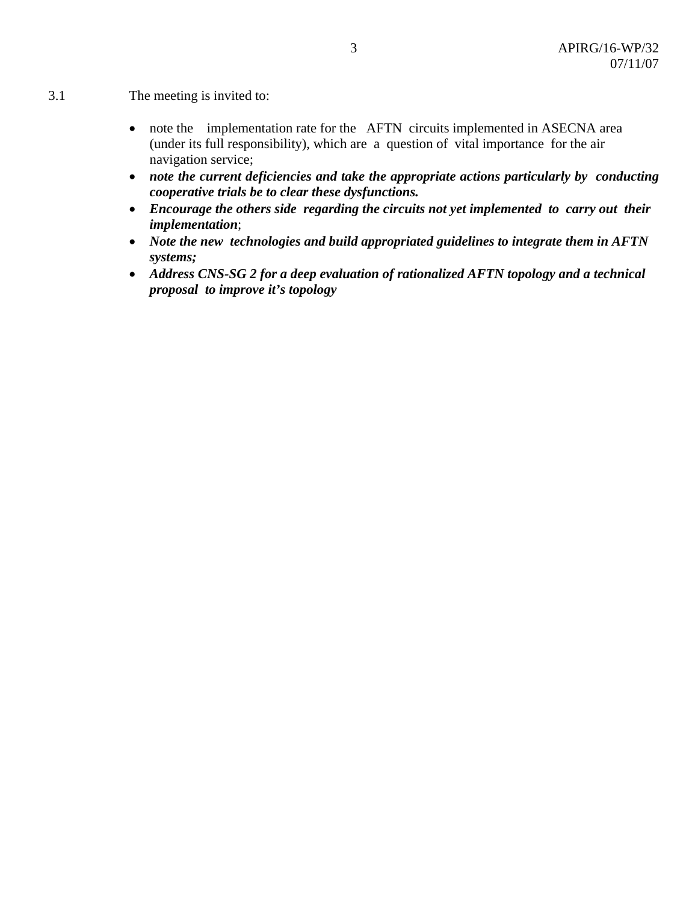- 3.1 The meeting is invited to:
	- note the implementation rate for the AFTN circuits implemented in ASECNA area (under its full responsibility), which are a question of vital importance for the air navigation service;
	- *note the current deficiencies and take the appropriate actions particularly by conducting cooperative trials be to clear these dysfunctions.*
	- *Encourage the others side regarding the circuits not yet implemented to carry out their implementation*;
	- *Note the new technologies and build appropriated guidelines to integrate them in AFTN systems;*
	- *Address CNS-SG 2 for a deep evaluation of rationalized AFTN topology and a technical proposal to improve it's topology*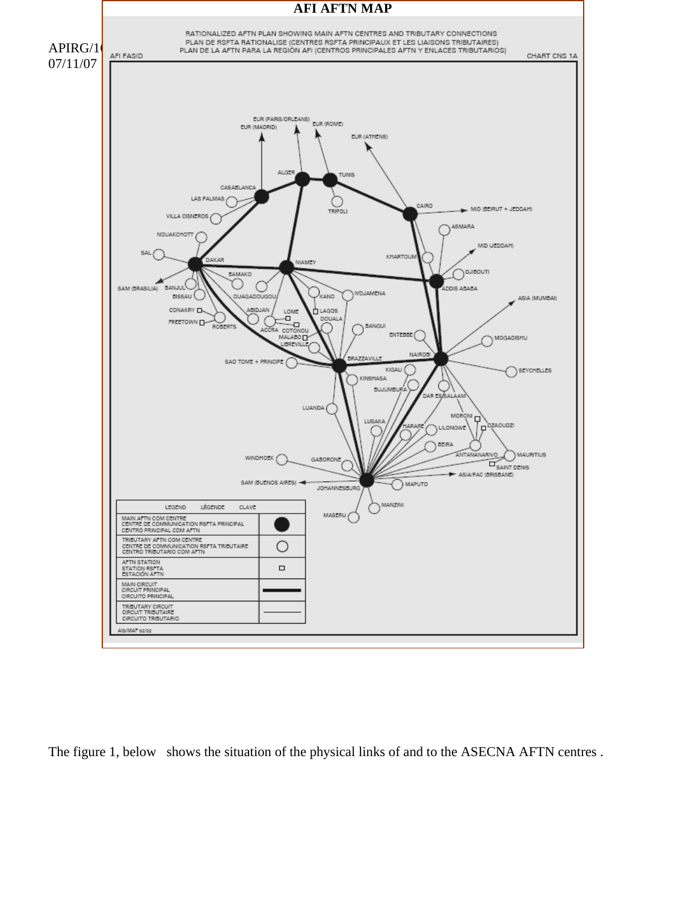

The figure 1, below shows the situation of the physical links of and to the ASECNA AFTN centres .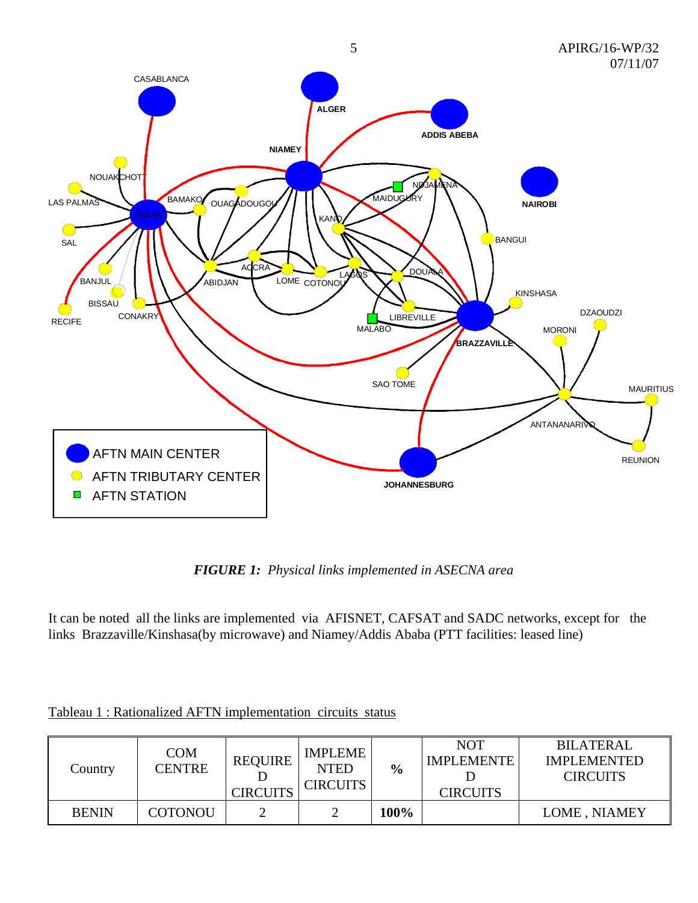

*FIGURE 1: Physical links implemented in ASECNA area* 

It can be noted all the links are implemented via AFISNET, CAFSAT and SADC networks, except for the links Brazzaville/Kinshasa(by microwave) and Niamey/Addis Ababa (PTT facilities: leased line)

| Country      | <b>COM</b><br><b>CENTRE</b> | <b>REQUIRE</b><br><b>CIRCUITS</b> | <b>IMPLEME</b><br><b>NTED</b><br><b>CIRCUITS</b> | $\frac{6}{6}$ | <b>NOT</b><br><b>IMPLEMENTE</b><br><b>CIRCUITS</b> | <b>BILATERAL</b><br><b>IMPLEMENTED</b><br><b>CIRCUITS</b> |
|--------------|-----------------------------|-----------------------------------|--------------------------------------------------|---------------|----------------------------------------------------|-----------------------------------------------------------|
| <b>BENIN</b> | <b>COTONOU</b>              |                                   |                                                  | 100%          |                                                    | LOME, NIAMEY                                              |